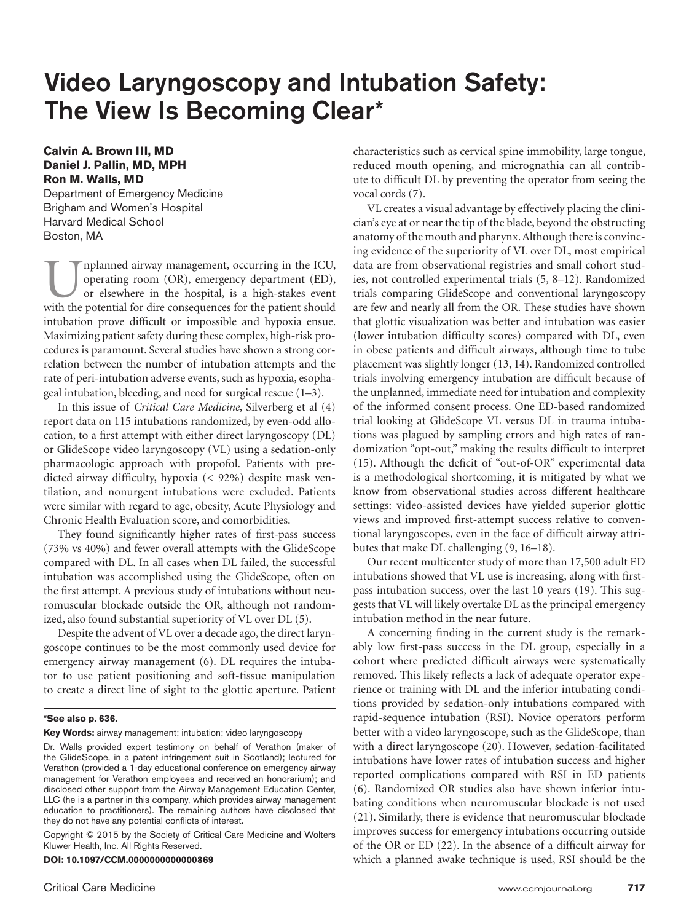# Video Laryngoscopy and Intubation Safety: The View Is Becoming Clear\*

## **Calvin A. Brown III, MD Daniel J. Pallin, MD, MPH Ron M. Walls, MD**

Department of Emergency Medicine Brigham and Women's Hospital Harvard Medical School Boston, MA

nplanned airway management, occurring in the ICU, operating room (OR), emergency department (ED), or elsewhere in the hospital, is a high-stakes event with the potential for dire consequences for the patient should intubation prove difficult or impossible and hypoxia ensue. Maximizing patient safety during these complex, high-risk procedures is paramount. Several studies have shown a strong correlation between the number of intubation attempts and the rate of peri-intubation adverse events, such as hypoxia, esophageal intubation, bleeding, and need for surgical rescue (1–3).

In this issue of *Critical Care Medicine*, Silverberg et al (4) report data on 115 intubations randomized, by even-odd allocation, to a first attempt with either direct laryngoscopy (DL) or GlideScope video laryngoscopy (VL) using a sedation-only pharmacologic approach with propofol. Patients with predicted airway difficulty, hypoxia (< 92%) despite mask ventilation, and nonurgent intubations were excluded. Patients were similar with regard to age, obesity, Acute Physiology and Chronic Health Evaluation score, and comorbidities.

They found significantly higher rates of first-pass success (73% vs 40%) and fewer overall attempts with the GlideScope compared with DL. In all cases when DL failed, the successful intubation was accomplished using the GlideScope, often on the first attempt. A previous study of intubations without neuromuscular blockade outside the OR, although not randomized, also found substantial superiority of VL over DL (5).

Despite the advent of VL over a decade ago, the direct laryngoscope continues to be the most commonly used device for emergency airway management (6). DL requires the intubator to use patient positioning and soft-tissue manipulation to create a direct line of sight to the glottic aperture. Patient

#### **\*See also p. 636.**

**Key Words:** airway management; intubation; video laryngoscopy

Dr. Walls provided expert testimony on behalf of Verathon (maker of the GlideScope, in a patent infringement suit in Scotland); lectured for Verathon (provided a 1-day educational conference on emergency airway management for Verathon employees and received an honorarium); and disclosed other support from the Airway Management Education Center, LLC (he is a partner in this company, which provides airway management education to practitioners). The remaining authors have disclosed that they do not have any potential conflicts of interest.

Copyright © 2015 by the Society of Critical Care Medicine and Wolters Kluwer Health, Inc. All Rights Reserved.

**DOI: 10.1097/CCM.0000000000000869**

characteristics such as cervical spine immobility, large tongue, reduced mouth opening, and micrognathia can all contribute to difficult DL by preventing the operator from seeing the vocal cords (7).

VL creates a visual advantage by effectively placing the clinician's eye at or near the tip of the blade, beyond the obstructing anatomy of the mouth and pharynx. Although there is convincing evidence of the superiority of VL over DL, most empirical data are from observational registries and small cohort studies, not controlled experimental trials (5, 8–12). Randomized trials comparing GlideScope and conventional laryngoscopy are few and nearly all from the OR. These studies have shown that glottic visualization was better and intubation was easier (lower intubation difficulty scores) compared with DL, even in obese patients and difficult airways, although time to tube placement was slightly longer (13, 14). Randomized controlled trials involving emergency intubation are difficult because of the unplanned, immediate need for intubation and complexity of the informed consent process. One ED-based randomized trial looking at GlideScope VL versus DL in trauma intubations was plagued by sampling errors and high rates of randomization "opt-out," making the results difficult to interpret (15). Although the deficit of "out-of-OR" experimental data is a methodological shortcoming, it is mitigated by what we know from observational studies across different healthcare settings: video-assisted devices have yielded superior glottic views and improved first-attempt success relative to conventional laryngoscopes, even in the face of difficult airway attributes that make DL challenging (9, 16–18).

Our recent multicenter study of more than 17,500 adult ED intubations showed that VL use is increasing, along with firstpass intubation success, over the last 10 years (19). This suggests that VL will likely overtake DL as the principal emergency intubation method in the near future.

A concerning finding in the current study is the remarkably low first-pass success in the DL group, especially in a cohort where predicted difficult airways were systematically removed. This likely reflects a lack of adequate operator experience or training with DL and the inferior intubating conditions provided by sedation-only intubations compared with rapid-sequence intubation (RSI). Novice operators perform better with a video laryngoscope, such as the GlideScope, than with a direct laryngoscope (20). However, sedation-facilitated intubations have lower rates of intubation success and higher reported complications compared with RSI in ED patients (6). Randomized OR studies also have shown inferior intubating conditions when neuromuscular blockade is not used (21). Similarly, there is evidence that neuromuscular blockade improves success for emergency intubations occurring outside of the OR or ED (22). In the absence of a difficult airway for which a planned awake technique is used, RSI should be the